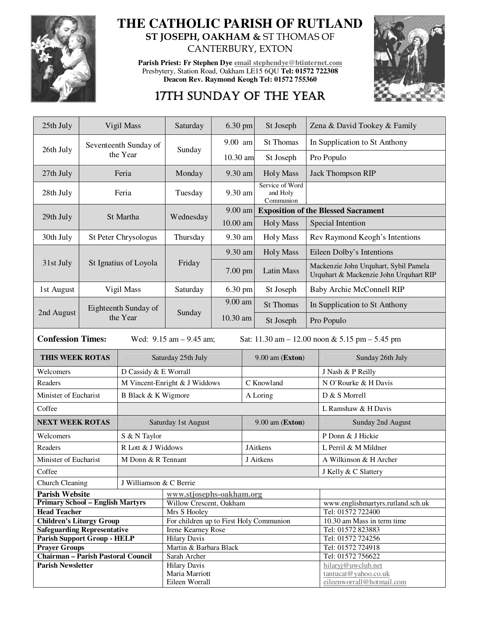

## **THE CATHOLIC PARISH OF RUTLAND ST JOSEPH, OAKHAM &** ST THOMAS OF CANTERBURY, EXTON

**Parish Priest: Fr Stephen Dye email stephendye@btinternet.com** Presbytery, Station Road, Oakham LE15 6QU **Tel: 01572 722308 Deacon Rev. Raymond Keogh Tel: 01572 755360** 



## 17TH SUNDAY OF THE YEAR

| 25th July                                                                                                       | Vigil Mass                       |                               | Saturday                                                | 6.30 pm    |                   | St Joseph                                |                                                                                 | Zena & David Tookey & Family                    |  |
|-----------------------------------------------------------------------------------------------------------------|----------------------------------|-------------------------------|---------------------------------------------------------|------------|-------------------|------------------------------------------|---------------------------------------------------------------------------------|-------------------------------------------------|--|
| 26th July                                                                                                       |                                  | Seventeenth Sunday of         | Sunday                                                  | 9.00 am    |                   | <b>St Thomas</b>                         | In Supplication to St Anthony                                                   |                                                 |  |
|                                                                                                                 |                                  | the Year                      |                                                         | $10.30$ am |                   | St Joseph                                | Pro Populo                                                                      |                                                 |  |
| 27th July                                                                                                       | Feria                            |                               | Monday                                                  | 9.30 am    |                   | <b>Holy Mass</b>                         | <b>Jack Thompson RIP</b>                                                        |                                                 |  |
| 28th July                                                                                                       | Feria                            |                               | Tuesday                                                 | 9.30 am    |                   | Service of Word<br>and Holy<br>Communion |                                                                                 |                                                 |  |
| 29th July                                                                                                       |                                  | St Martha                     | Wednesday                                               | 9.00 am    |                   |                                          | <b>Exposition of the Blessed Sacrament</b>                                      |                                                 |  |
|                                                                                                                 |                                  |                               |                                                         | 10.00 am   |                   | <b>Holy Mass</b>                         | Special Intention                                                               |                                                 |  |
| 30th July                                                                                                       | St Peter Chrysologus             |                               | Thursday                                                | 9.30 am    |                   | <b>Holy Mass</b>                         | Rev Raymond Keogh's Intentions                                                  |                                                 |  |
|                                                                                                                 |                                  |                               |                                                         | 9.30 am    |                   | <b>Holy Mass</b>                         | Eileen Dolby's Intentions                                                       |                                                 |  |
| 31st July                                                                                                       |                                  | St Ignatius of Loyola         | Friday                                                  | 7.00 pm    |                   | <b>Latin Mass</b>                        | Mackenzie John Urquhart, Sybil Pamela<br>Urquhart & Mackenzie John Urquhart RIP |                                                 |  |
| 1st August                                                                                                      | Vigil Mass                       |                               | Saturday                                                | 6.30 pm    |                   | St Joseph                                | Baby Archie McConnell RIP                                                       |                                                 |  |
|                                                                                                                 |                                  |                               |                                                         | 9.00 am    |                   | <b>St Thomas</b>                         | In Supplication to St Anthony                                                   |                                                 |  |
| 2nd August                                                                                                      | Eighteenth Sunday of<br>the Year |                               | Sunday                                                  | 10.30 am   |                   | St Joseph                                | Pro Populo                                                                      |                                                 |  |
| <b>Confession Times:</b><br>Sat: $11.30$ am $- 12.00$ noon & 5.15 pm $- 5.45$ pm<br>Wed: $9.15$ am $- 9.45$ am; |                                  |                               |                                                         |            |                   |                                          |                                                                                 |                                                 |  |
| <b>THIS WEEK ROTAS</b>                                                                                          |                                  |                               | Saturday 25th July                                      |            |                   | 9.00 am (Exton)                          |                                                                                 | Sunday 26th July                                |  |
| Welcomers                                                                                                       |                                  |                               | D Cassidy & E Worrall                                   |            |                   |                                          |                                                                                 | J Nash & P Reilly                               |  |
| Readers                                                                                                         |                                  | M Vincent-Enright & J Widdows |                                                         |            | C Knowland        |                                          |                                                                                 | N O'Rourke & H Davis                            |  |
| Minister of Eucharist                                                                                           |                                  | B Black & K Wigmore           |                                                         |            | A Loring          |                                          |                                                                                 | D & S Morrell                                   |  |
| Coffee                                                                                                          |                                  |                               |                                                         |            |                   |                                          |                                                                                 | L Ramshaw & H Davis                             |  |
| <b>NEXT WEEK ROTAS</b>                                                                                          |                                  | Saturday 1st August           |                                                         |            | $9.00$ am (Exton) |                                          |                                                                                 | Sunday 2nd August                               |  |
| Welcomers                                                                                                       |                                  | S & N Taylor                  |                                                         |            |                   |                                          |                                                                                 | P Donn & J Hickie                               |  |
| Readers                                                                                                         |                                  | R Lott & J Widdows            |                                                         |            | <b>JAitkens</b>   |                                          |                                                                                 | L Perril & M Mildner                            |  |
| Minister of Eucharist                                                                                           |                                  | M Donn & R Tennant            |                                                         |            | J Aitkens         |                                          |                                                                                 | A Wilkinson & H Archer                          |  |
| Coffee                                                                                                          |                                  |                               |                                                         |            |                   |                                          | J Kelly & C Slattery                                                            |                                                 |  |
| J Williamson & C Berrie<br>Church Cleaning                                                                      |                                  |                               |                                                         |            |                   |                                          |                                                                                 |                                                 |  |
| <b>Parish Website</b>                                                                                           |                                  |                               | www.stjosephs-oakham.org                                |            |                   |                                          |                                                                                 |                                                 |  |
| <b>Primary School - English Martyrs</b>                                                                         |                                  |                               | Willow Crescent, Oakham                                 |            |                   |                                          |                                                                                 | www.englishmartyrs.rutland.sch.uk               |  |
| <b>Head Teacher</b><br><b>Children's Liturgy Group</b>                                                          |                                  |                               | Mrs S Hooley<br>For children up to First Holy Communion |            |                   |                                          |                                                                                 | Tel: 01572 722400<br>10.30 am Mass in term time |  |
| <b>Safeguarding Representative</b>                                                                              |                                  |                               | Irene Kearney Rose                                      |            |                   |                                          |                                                                                 | Tel: 01572 823883                               |  |
| <b>Parish Support Group - HELP</b>                                                                              |                                  |                               | <b>Hilary Davis</b>                                     |            |                   |                                          |                                                                                 | Tel: 01572 724256                               |  |
| <b>Prayer Groups</b>                                                                                            |                                  |                               | Martin & Barbara Black                                  |            |                   |                                          |                                                                                 | Tel: 01572 724918                               |  |
| <b>Chairman - Parish Pastoral Council</b>                                                                       |                                  |                               | Sarah Archer                                            |            |                   |                                          | Tel: 01572 756622                                                               |                                                 |  |
| <b>Parish Newsletter</b>                                                                                        |                                  |                               | <b>Hilary Davis</b><br>Maria Marriott<br>Eileen Worrall |            |                   |                                          | hilaryj@uwclub.net<br>tantucat@yahoo.co.uk<br>eileenworrall@hotmail.com         |                                                 |  |